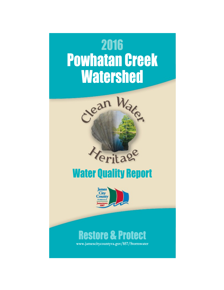



# **Water Quality Report**



# **Restore & Protect**

www.jamescitycountyva.gov/857/Stormwater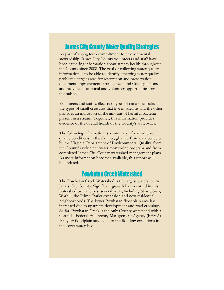#### **James City County Water Quality Strategies**

As part of a long term commitment to environmental stewardship, James City County volunteers and staff have been gathering information about stream health throughout the County since 2008. The goal of collecting water quality information is to be able to identify emerging water quality problems, target areas for restoration and preservation, document improvements from citizen and County actions and provide educational and volunteer opportunities for the public.

Volunteers and staff collect two types of data: one looks at the types of small creatures that live in streams and the other provides an indication of the amount of harmful bacteria present in a stream. Together, this information provides evidence of the overall health of the County's waterways.

The following information is a summary of known water quality conditions in the County, gleaned from data collected by the Virginia Department of Environmental Quality, from the County's volunteer water monitoring program and from completed James City County watershed management plans. As more information becomes available, this report will be updated.

#### **Powhatan Creek Watershed**

The Powhatan Creek Watershed is the largest watershed in James City County. Significant growth has occurred in this watershed over the past several years, including New Town, Warhill, the Prime Outlet expansion and new residential neighborhoods. The lower Powhatan floodplain area has increased due to upstream development and road crossings. So far, Powhatan Creek is the only County watershed with a non-tidal Federal Emergency Management Agency (FEMA) 100-year floodplain study due to the flooding conditions in the lower watershed.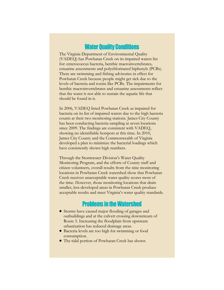#### **Water Quality Conditions**

The Virginia Department of Environmental Quality (VADEQ) has Powhatan Creek on its impaired waters list for: enterococcus bacteria, benthic macroinvertebrates, estuarine assessments and polychlorinated biphenyls (PCBs). There are swimming and fishing advisories in effect for Powhatan Creek because people might get sick due to the levels of bacteria and toxins like PCBs. The impairments for benthic macroinvertebrates and estuarine assessments reflect that the water is not able to sustain the aquatic life that should be found in it.

In 2006, VADEQ listed Powhatan Creek as impaired for bacteria on its list of impaired waters due to the high bacteria counts at their two monitoring stations. James City County has been conducting bacteria sampling at seven locations since 2009. The findings are consistent with VADEQ, showing no identifiable hotspots at this time. In 2010, James City County and the Commonwealth of Virginia developed a plan to minimize the bacterial loadings which have consistently shown high numbers.

Through the Stormwater Division's Water Quality Monitoring Program, and the efforts of County staff and citizen volunteers, overall results from the nine monitoring locations in Powhatan Creek watershed show that Powhatan Creek receives unacceptable water quality scores most of the time. However, those monitoring locations that drain smaller, less-developed areas in Powhatan Creek produce acceptable results and meet Virginia's water quality standards.

### **Problems in the Watershed**

- Storms have caused major flooding of garages and outbuildings and at the culvert crossing downstream of Route 5. Increasing the floodplain from upstream urbanization has reduced drainage areas.
- Bacteria levels are too high for swimming or food consumption.
- The tidal portion of Powhatan Creek has shown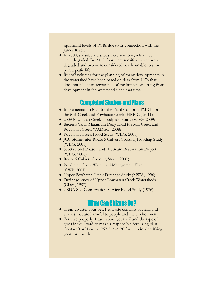significant levels of PCBs due to its connection with the James River.

- In 2000, six subwatersheds were sensitive, while five were degraded. By 2012, four were sensitive, seven were degraded and two were considered nearly unable to support aquatic life.
- Runoff volumes for the planning of many developments in the watershed have been based on data from 1976 that does not take into account all of the impact occurring from development in the watershed since that time.

#### **Completed Studies and Plans**

- Implementation Plan for the Fecal Coliform TMDL for the Mill Creek and Powhatan Creek (HRPDC, 2011)
- 2009 Powhatan Creek Floodplain Study (WEG, 2009)
- Bacteria Total Maximum Daily Load for Mill Creek and Powhatan Creek (VADEQ, 2008)
- Powhatan Creek Flood Study (WEG, 2008)
- JCC Stormwater Route 5 Culvert Crossing Flooding Study (WEG, 2008)
- Scotts Pond Phase I and II Stream Restoration Project (WEG, 2008)
- Route 5 Culvert Crossing Study (2007)
- Powhatan Creek Watershed Management Plan (CWP, 2001)
- Upper Powhatan Creek Drainage Study (MWA, 1996)
- Drainage study of Upper Powhatan Creek Watersheds (CDM, 1987)
- USDA Soil Conservation Service Flood Study (1976)

#### **What Can Citizens Do?**

- Clean up after your pet. Pet waste contains bacteria and viruses that are harmful to people and the environment.
- Fertilize properly. Learn about your soil and the type of grass in your yard to make a responsible fertilizing plan. Contact Turf Love at 757-564-2170 for help in identifying your yard needs.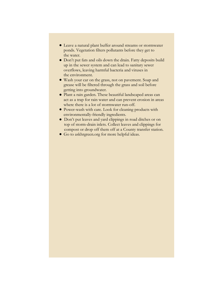- Leave a natural plant buffer around streams or stormwater ponds. Vegetation filters pollutants before they get to the water.
- Don't put fats and oils down the drain. Fatty deposits build up in the sewer system and can lead to sanitary sewer overflows, leaving harmful bacteria and viruses in the environment.
- Wash your car on the grass, not on pavement. Soap and grease will be filtered through the grass and soil before getting into groundwater.
- Plant a rain garden. These beautiful landscaped areas can act as a trap for rain water and can prevent erosion in areas where there is a lot of stormwater run-off.
- Power-wash with care. Look for cleaning products with environmentally-friendly ingredients.
- Don't put leaves and yard clippings in road ditches or on top of storm-drain inlets. Collect leaves and clippings for compost or drop off them off at a County transfer station.
- Go to askhrgreen.org for more helpful ideas.